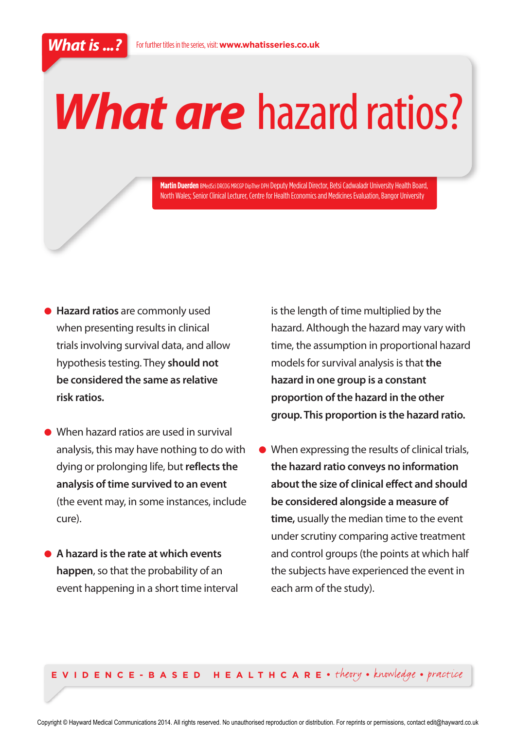# *What are* hazard ratios?

**Martin Duerden**BMedSci DRCOG MRCGP DipTher DPH Deputy Medical Director, Betsi Cadwaladr University Health Board, North Wales; Senior Clinical Lecturer, Centre for Health Economics and Medicines Evaluation, Bangor University

- **● Hazard ratios** are commonly used when presenting results in clinical trials involving survival data, and allow hypothesis testing. They **should not be considered the same as relative risk ratios.**
- When hazard ratios are used in survival analysis, this may have nothing to do with dying or prolonging life, but **reflects the analysis of time survived to an event** (the event may, in some instances, include cure).
- **● A hazard is the rate at which events happen**, so that the probability of an event happening in a short time interval

is the length of time multiplied by the hazard. Although the hazard may vary with time, the assumption in proportional hazard models for survival analysis is that **the hazard in one group is a constant proportion of the hazard in the other group. This proportion is the hazard ratio.**

**●** When expressing the results of clinical trials, **the hazard ratio conveys no information about the size of clinical effect and should be considered alongside a measure of time,** usually the median time to the event under scrutiny comparing active treatment and control groups (the points at which half the subjects have experienced the event in each arm of the study).

**E V I D E N C E - B A S E D H E A L T H C A R E** • theory • knowledge • practice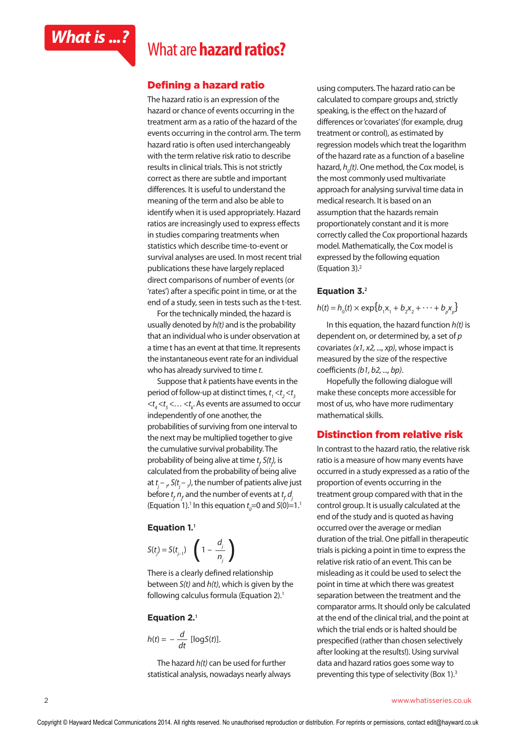

# *What is ...?* What are **hazard ratios?**

### **Defining a hazard ratio**

The hazard ratio is an expression of the hazard or chance of events occurring in the treatment arm as a ratio of the hazard of the events occurring in the control arm. The term hazard ratio is often used interchangeably with the term relative risk ratio to describe results in clinical trials. This is not strictly correct as there are subtle and important differences. It is useful to understand the meaning of the term and also be able to identify when it is used appropriately. Hazard ratios are increasingly used to express effects in studies comparing treatments when statistics which describe time-to-event or survival analyses are used. In most recent trial publications these have largely replaced direct comparisons of number of events (or 'rates') after a specific point in time, or at the end of a study, seen in tests such as the t-test.

For the technically minded, the hazard is usually denoted by *h(t)* and is the probability that an individual who is under observation at a time t has an event at that time. It represents the instantaneous event rate for an individual who has already survived to time *t*.

Suppose that *k* patients have events in the period of follow-up at distinct times,  $t_{_1} < t_{_2} < t_{_3}$  $<$ t<sub>4</sub> $<$ t<sub>5</sub> $<$ ... $<$ t<sub>k</sub>. As events are assumed to occur independently of one another, the probabilities of surviving from one interval to the next may be multiplied together to give the cumulative survival probability. The probability of being alive at time *t j , S(tj ),* is calculated from the probability of being alive at  $t_j$  – <sub>1</sub>, S( $t_j$  – <sub>1</sub>), the number of patients alive just before *t j , nj* , and the number of events at *t j , dj* (Equation 1).<sup>1</sup> In this equation  $t_o$ =0 and *S*(0)=1.<sup>1</sup>

#### **Equation 1.<sup>1</sup>**

$$
S(t_j) = S(t_{j-1}) \left( 1 - \frac{d_j}{n_j} \right)
$$

There is a clearly defined relationship between *S(t)* and *h(t)*, which is given by the following calculus formula (Equation 2).<sup>1</sup>

#### **Equation 2.<sup>1</sup>**

$$
h(t) = -\frac{d}{dt} [\log S(t)].
$$

The hazard *h(t)* can be used for further statistical analysis, nowadays nearly always using computers. The hazard ratio can be calculated to compare groups and, strictly speaking, is the effect on the hazard of differences or 'covariates' (for example, drug treatment or control), as estimated by regression models which treat the logarithm of the hazard rate as a function of a baseline hazard, *h0 (t)*. One method, the Cox model, is the most commonly used multivariate approach for analysing survival time data in medical research. It is based on an assumption that the hazards remain proportionately constant and it is more correctly called the Cox proportional hazards model. Mathematically, the Cox model is expressed by the following equation (Equation 3).2

#### **Equation 3.<sup>2</sup>**

$$
h(t) = h_{0}(t) \times \exp\{b_{1}x_{1} + b_{2}x_{2} + \cdots + b_{p}x_{p}\}\
$$

In this equation, the hazard function *h(t)* is dependent on, or determined by, a set of *p* covariates *(x1, x2, ..., xp)*, whose impact is measured by the size of the respective coefficients *(b1, b2, ..., bp)*.

Hopefully the following dialogue will make these concepts more accessible for most of us, who have more rudimentary mathematical skills.

#### **Distinction from relative risk**

In contrast to the hazard ratio, the relative risk ratio is a measure of how many events have occurred in a study expressed as a ratio of the proportion of events occurring in the treatment group compared with that in the control group. It is usually calculated at the end of the study and is quoted as having occurred over the average or median duration of the trial. One pitfall in therapeutic trials is picking a point in time to express the relative risk ratio of an event. This can be misleading as it could be used to select the point in time at which there was greatest separation between the treatment and the comparator arms. It should only be calculated at the end of the clinical trial, and the point at which the trial ends or is halted should be prespecified (rather than chosen selectively after looking at the results!). Using survival data and hazard ratios goes some way to preventing this type of selectivity (Box 1).3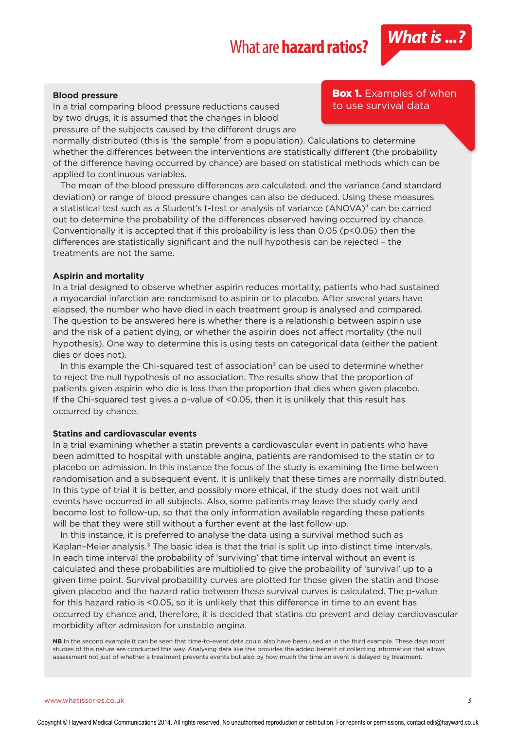

In a trial comparing blood pressure reductions caused by two drugs, it is assumed that the changes in blood pressure of the subjects caused by the different drugs are

normally distributed (this is 'the sample' from a population). Calculations to determine whether the differences between the interventions are statistically different (the probability of the difference having occurred by chance) are based on statistical methods which can be applied to continuous variables.

The mean of the blood pressure differences are calculated, and the variance (and standard deviation) or range of blood pressure changes can also be deduced. Using these measures a statistical test such as a Student's t-test or analysis of variance (ANOVA)<sup>3</sup> can be carried out to determine the probability of the differences observed having occurred by chance. Conventionally it is accepted that if this probability is less than 0.05 (p<0.05) then the differences are statistically significant and the null hypothesis can be rejected – the treatments are not the same.

#### **Aspirin and mortality**

In a trial designed to observe whether aspirin reduces mortality, patients who had sustained a myocardial infarction are randomised to aspirin or to placebo. After several years have elapsed, the number who have died in each treatment group is analysed and compared. The question to be answered here is whether there is a relationship between aspirin use and the risk of a patient dying, or whether the aspirin does not affect mortality (the null hypothesis). One way to determine this is using tests on categorical data (either the patient dies or does not).

In this example the Chi-squared test of association<sup>3</sup> can be used to determine whether to reject the null hypothesis of no association. The results show that the proportion of patients given aspirin who die is less than the proportion that dies when given placebo. If the Chi-squared test gives a p-value of <0.05, then it is unlikely that this result has occurred by chance.

#### **Statins and cardiovascular events**

In a trial examining whether a statin prevents a cardiovascular event in patients who have been admitted to hospital with unstable angina, patients are randomised to the statin or to placebo on admission. In this instance the focus of the study is examining the time between randomisation and a subsequent event. It is unlikely that these times are normally distributed. In this type of trial it is better, and possibly more ethical, if the study does not wait until events have occurred in all subjects. Also, some patients may leave the study early and become lost to follow-up, so that the only information available regarding these patients will be that they were still without a further event at the last follow-up.

In this instance, it is preferred to analyse the data using a survival method such as Kaplan–Meier analysis.<sup>3</sup> The basic idea is that the trial is split up into distinct time intervals. In each time interval the probability of 'surviving' that time interval without an event is calculated and these probabilities are multiplied to give the probability of 'survival' up to a given time point. Survival probability curves are plotted for those given the statin and those given placebo and the hazard ratio between these survival curves is calculated. The p-value for this hazard ratio is <0.05, so it is unlikely that this difference in time to an event has occurred by chance and, therefore, it is decided that statins do prevent and delay cardiovascular morbidity after admission for unstable angina.

**NB** In the second example it can be seen that time-to-event data could also have been used as in the third example. These days most studies of this nature are conducted this way. Analysing data like this provides the added benefit of collecting information that allows assessment not just of whether a treatment prevents events but also by how much the time an event is delayed by treatment.

#### **Box 1.** Examples of when to use survival data

www.whatisseries.co.uk 3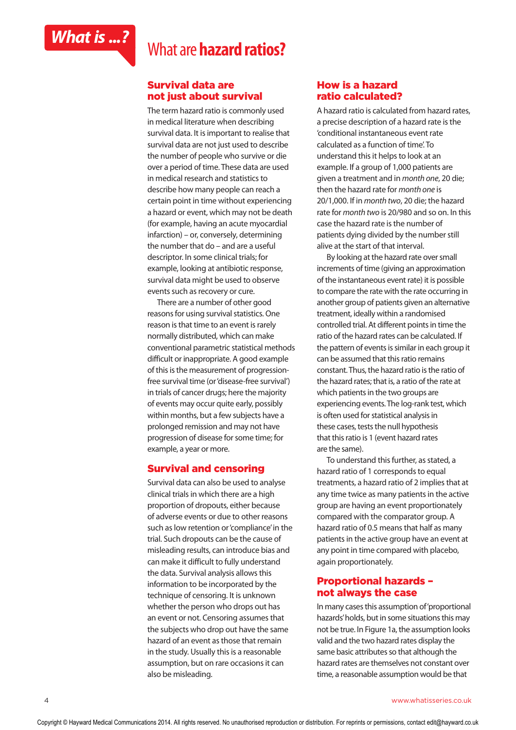

### **Survival data are not just about survival**

The term hazard ratio is commonly used in medical literature when describing survival data. It is important to realise that survival data are not just used to describe the number of people who survive or die over a period of time. These data are used in medical research and statistics to describe how many people can reach a certain point in time without experiencing a hazard or event, which may not be death (for example, having an acute myocardial infarction) – or, conversely, determining the number that do – and are a useful descriptor. In some clinical trials; for example, looking at antibiotic response, survival data might be used to observe events such as recovery or cure.

There are a number of other good reasons for using survival statistics. One reason is that time to an event is rarely normally distributed, which can make conventional parametric statistical methods difficult or inappropriate. A good example of this is the measurement of progressionfree survival time (or 'disease-free survival') in trials of cancer drugs; here the majority of events may occur quite early, possibly within months, but a few subjects have a prolonged remission and may not have progression of disease for some time; for example, a year or more.

#### **Survival and censoring**

Survival data can also be used to analyse clinical trials in which there are a high proportion of dropouts, either because of adverse events or due to other reasons such as low retention or 'compliance' in the trial. Such dropouts can be the cause of misleading results, can introduce bias and can make it difficult to fully understand the data. Survival analysis allows this information to be incorporated by the technique of censoring. It is unknown whether the person who drops out has an event or not. Censoring assumes that the subjects who drop out have the same hazard of an event as those that remain in the study. Usually this is a reasonable assumption, but on rare occasions it can also be misleading.

#### **How is a hazard ratio calculated?**

A hazard ratio is calculated from hazard rates, a precise description of a hazard rate is the 'conditional instantaneous event rate calculated as a function of time'. To understand this it helps to look at an example. If a group of 1,000 patients are given a treatment and in *month one*, 20 die; then the hazard rate for *month one* is 20/1,000. If in *month two*, 20 die; the hazard rate for *month two* is 20/980 and so on. In this case the hazard rate is the number of patients dying divided by the number still alive at the start of that interval.

By looking at the hazard rate over small increments of time (giving an approximation of the instantaneous event rate) it is possible to compare the rate with the rate occurring in another group of patients given an alternative treatment, ideally within a randomised controlled trial. At different points in time the ratio of the hazard rates can be calculated. If the pattern of events is similar in each group it can be assumed that this ratio remains constant. Thus, the hazard ratio is the ratio of the hazard rates; that is, a ratio of the rate at which patients in the two groups are experiencing events. The log-rank test, which is often used for statistical analysis in these cases, tests the null hypothesis that this ratio is 1 (event hazard rates are the same).

To understand this further, as stated, a hazard ratio of 1 corresponds to equal treatments, a hazard ratio of 2 implies that at any time twice as many patients in the active group are having an event proportionately compared with the comparator group. A hazard ratio of 0.5 means that half as many patients in the active group have an event at any point in time compared with placebo, again proportionately.

#### **Proportional hazards – not always the case**

In many cases this assumption of 'proportional hazards' holds, but in some situations this may not be true. In Figure 1a, the assumption looks valid and the two hazard rates display the same basic attributes so that although the hazard rates are themselves not constant over time, a reasonable assumption would be that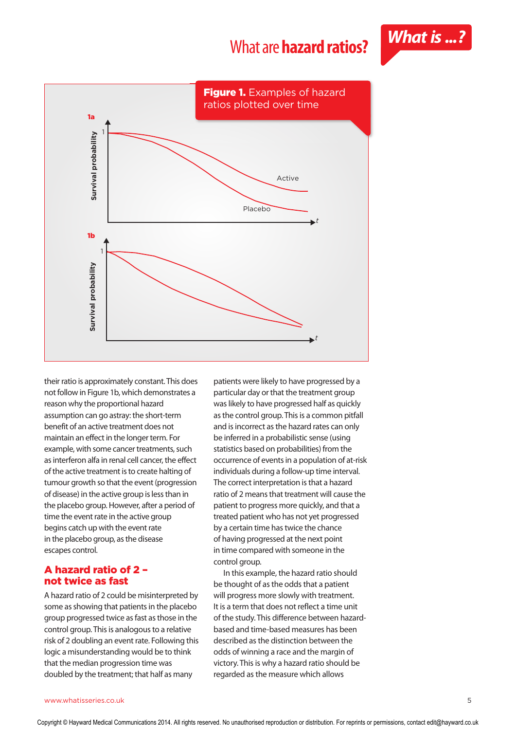



their ratio is approximately constant. This does not follow in Figure 1b, which demonstrates a reason why the proportional hazard assumption can go astray: the short-term benefit of an active treatment does not maintain an effect in the longer term. For example, with some cancer treatments, such as interferon alfa in renal cell cancer, the effect of the active treatment is to create halting of tumour growth so that the event (progression of disease) in the active group is less than in the placebo group. However, after a period of time the event rate in the active group begins catch up with the event rate in the placebo group, as the disease escapes control.

### **A hazard ratio of 2 – not twice as fast**

A hazard ratio of 2 could be misinterpreted by some as showing that patients in the placebo group progressed twice as fast as those in the control group. This is analogous to a relative risk of 2 doubling an event rate. Following this logic a misunderstanding would be to think that the median progression time was doubled by the treatment; that half as many

patients were likely to have progressed by a particular day or that the treatment group was likely to have progressed half as quickly as the control group. This is a common pitfall and is incorrect as the hazard rates can only be inferred in a probabilistic sense (using statistics based on probabilities) from the occurrence of events in a population of at-risk individuals during a follow-up time interval. The correct interpretation is that a hazard ratio of 2 means that treatment will cause the patient to progress more quickly, and that a treated patient who has not yet progressed by a certain time has twice the chance of having progressed at the next point in time compared with someone in the control group.

In this example, the hazard ratio should be thought of as the odds that a patient will progress more slowly with treatment. It is a term that does not reflect a time unit of the study. This difference between hazardbased and time-based measures has been described as the distinction between the odds of winning a race and the margin of victory. This is why a hazard ratio should be regarded as the measure which allows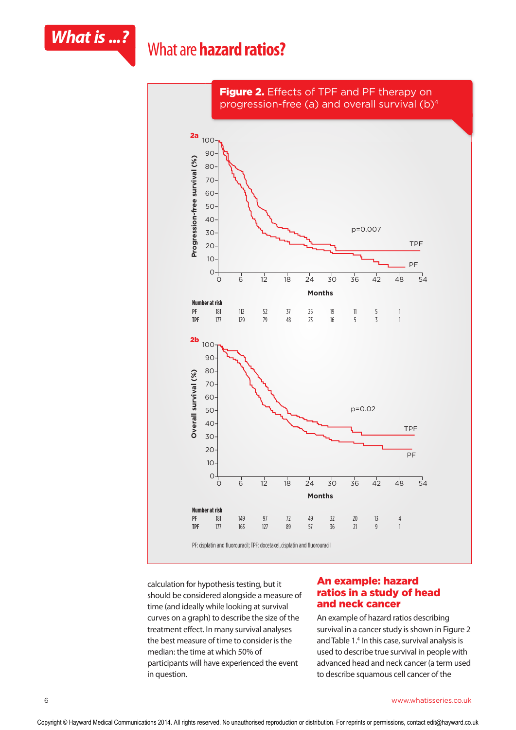



calculation for hypothesis testing, but it should be considered alongside a measure of time (and ideally while looking at survival curves on a graph) to describe the size of the treatment effect. In many survival analyses the best measure of time to consider is the median: the time at which 50% of participants will have experienced the event in question.

#### **An example: hazard ratios in a study of head and neck cancer**

An example of hazard ratios describing survival in a cancer study is shown in Figure 2 and Table 1.4 In this case, survival analysis is used to describe true survival in people with advanced head and neck cancer (a term used to describe squamous cell cancer of the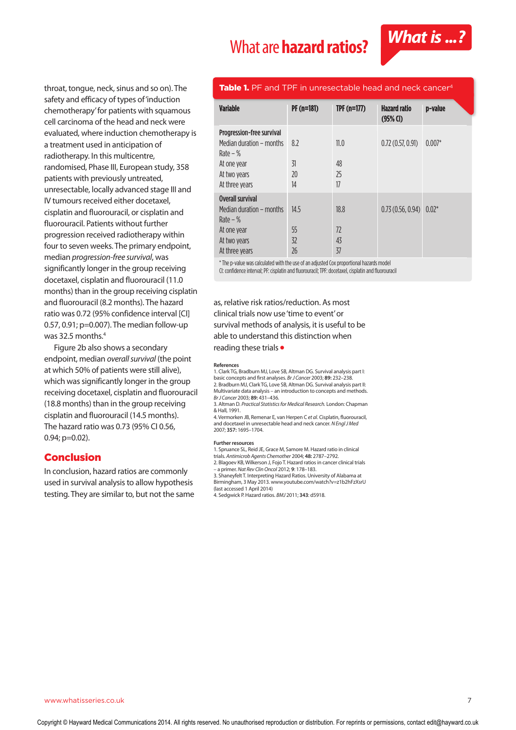## What are **hazard ratios?** *What is ...?*



throat, tongue, neck, sinus and so on). The safety and efficacy of types of 'induction chemotherapy' for patients with squamous cell carcinoma of the head and neck were evaluated, where induction chemotherapy is a treatment used in anticipation of radiotherapy. In this multicentre, randomised, Phase III, European study, 358 patients with previously untreated, unresectable, locally advanced stage III and IV tumours received either docetaxel, cisplatin and fluorouracil, or cisplatin and fluorouracil. Patients without further progression received radiotherapy within four to seven weeks. The primary endpoint, median *progression-free survival*, was significantly longer in the group receiving docetaxel, cisplatin and fluorouracil (11.0 months) than in the group receiving cisplatin and fluorouracil (8.2 months). The hazard ratio was 0.72 (95% confidence interval [CI] 0.57, 0.91; p=0.007). The median follow-up was 32.5 months.4

Figure 2b also shows a secondary endpoint, median *overall survival* (the point at which 50% of patients were still alive), which was significantly longer in the group receiving docetaxel, cisplatin and fluorouracil (18.8 months) than in the group receiving cisplatin and fluorouracil (14.5 months). The hazard ratio was 0.73 (95% CI 0.56, 0.94; p=0.02).

#### **Conclusion**

In conclusion, hazard ratios are commonly used in survival analysis to allow hypothesis testing. They are similar to, but not the same

#### **Table 1.** PF and TPF in unresectable head and neck cancer4

| <b>Variable</b>                                                                                                      | $PF(n=181)$            | TPF $(n=177)$          | <b>Hazard ratio</b><br>$(95%$ CI) | p-value  |
|----------------------------------------------------------------------------------------------------------------------|------------------------|------------------------|-----------------------------------|----------|
| Progression-free survival<br>Median duration – months<br>Rate $-$ %<br>At one year<br>At two years<br>At three years | 8.2<br>31<br>20<br>14  | 11.0<br>48<br>25<br>17 | 0.72(0.57, 0.91)                  | $0.007*$ |
| Overall survival<br>Median duration - months<br>Rate $-$ %<br>At one year<br>At two years<br>At three years          | 14.5<br>55<br>32<br>26 | 18.8<br>72<br>43<br>37 | 0.73(0.56, 0.94)                  | $0.02*$  |

\* The p-value was calculated with the use of an adjusted Cox proportional hazards model

CI: confidence interval; PF: cisplatin and fluorouracil; TPF: docetaxel, cisplatin and fluorouracil

as, relative risk ratios/reduction. As most clinical trials now use 'time to event' or survival methods of analysis, it is useful to be able to understand this distinction when reading these trials **●**

#### **References**

1. Clark TG, Bradburn MJ, Love SB, Altman DG. Survival analysis part I: basic concepts and first analyses. *Br J Cancer* 2003; **89:** 232–238. 2. Bradburn MJ, Clark TG, Love SB, Altman DG. Survival analysis part II: Multivariate data analysis – an introduction to concepts and methods. *Br J Cancer* 2003; **89:** 431–436.

3. Altman D. *Practical Statistics for Medical Research.* London: Chapman & Hall, 1991.

4. Vermorken JB, Remenar E, van Herpen C *et al*. Cisplatin, fluorouracil, and docetaxel in unresectable head and neck cancer. *N Engl J Med* 2007; **357:** 1695–1704.

#### **Further resources**

1. Spruance SL, Reid JE, Grace M, Samore M. Hazard ratio in clinical

trials. *Antimicrob Agents Chemother* 2004; **48:** 2787–2792. 2. Blagoev KB, Wilkerson J, Fojo T. Hazard ratios in cancer clinical trials

– a primer. *Nat Rev Clin Oncol* 2012; **9**: 178–183.

3. Shaneyfelt T. Interpreting Hazard Ratios. University of Alabama at Birmingham, 3 May 2013. www.youtube.com/watch?v=z1b2hFzXsrU (last accessed 1 April 2014)

4. Sedgwick P. Hazard ratios. *BMJ* 2011; **343**: d5918.